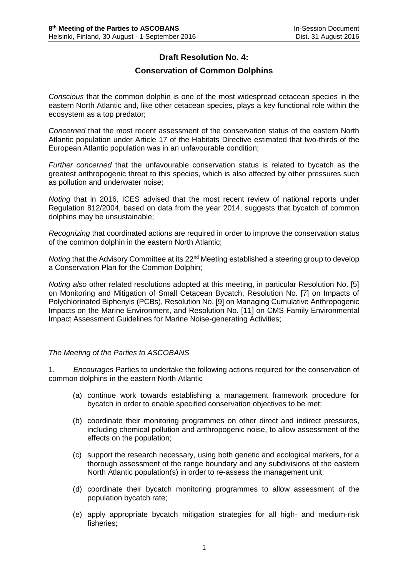## **Draft Resolution No. 4:**

## **Conservation of Common Dolphins**

*Conscious* that the common dolphin is one of the most widespread cetacean species in the eastern North Atlantic and, like other cetacean species, plays a key functional role within the ecosystem as a top predator;

*Concerned* that the most recent assessment of the conservation status of the eastern North Atlantic population under Article 17 of the Habitats Directive estimated that two-thirds of the European Atlantic population was in an unfavourable condition;

*Further concerned* that the unfavourable conservation status is related to bycatch as the greatest anthropogenic threat to this species, which is also affected by other pressures such as pollution and underwater noise;

*Noting* that in 2016, ICES advised that the most recent review of national reports under Regulation 812/2004, based on data from the year 2014, suggests that bycatch of common dolphins may be unsustainable;

*Recognizing* that coordinated actions are required in order to improve the conservation status of the common dolphin in the eastern North Atlantic;

*Noting* that the Advisory Committee at its 22<sup>nd</sup> Meeting established a steering group to develop a Conservation Plan for the Common Dolphin;

*Noting also* other related resolutions adopted at this meeting, in particular Resolution No. [5] on Monitoring and Mitigation of Small Cetacean Bycatch, Resolution No. [7] on Impacts of Polychlorinated Biphenyls (PCBs), Resolution No. [9] on Managing Cumulative Anthropogenic Impacts on the Marine Environment, and Resolution No. [11] on CMS Family Environmental Impact Assessment Guidelines for Marine Noise-generating Activities;

## *The Meeting of the Parties to ASCOBANS*

1. *Encourages* Parties to undertake the following actions required for the conservation of common dolphins in the eastern North Atlantic

- (a) continue work towards establishing a management framework procedure for bycatch in order to enable specified conservation objectives to be met;
- (b) coordinate their monitoring programmes on other direct and indirect pressures, including chemical pollution and anthropogenic noise, to allow assessment of the effects on the population;
- (c) support the research necessary, using both genetic and ecological markers, for a thorough assessment of the range boundary and any subdivisions of the eastern North Atlantic population(s) in order to re-assess the management unit;
- (d) coordinate their bycatch monitoring programmes to allow assessment of the population bycatch rate;
- (e) apply appropriate bycatch mitigation strategies for all high- and medium-risk fisheries;